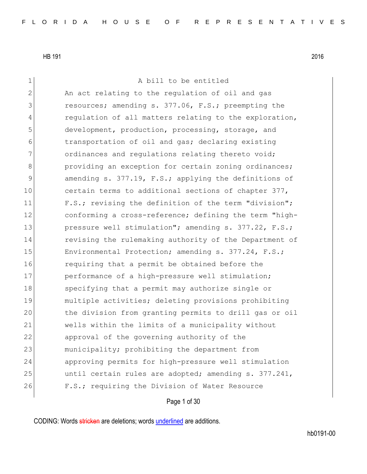1 a bill to be entitled 2 An act relating to the regulation of oil and gas 3 resources; amending s. 377.06, F.S.; preempting the 4 regulation of all matters relating to the exploration, 5 development, production, processing, storage, and 6 transportation of oil and gas; declaring existing 7 ordinances and regulations relating thereto void; 8 between providing an exception for certain zoning ordinances; 9 31 9 9 amending s. 377.19, F.S.; applying the definitions of 10 certain terms to additional sections of chapter 377, 11 F.S.; revising the definition of the term "division"; 12 conforming a cross-reference; defining the term "high-13 pressure well stimulation"; amending s. 377.22, F.S.; 14 revising the rulemaking authority of the Department of 15 Environmental Protection; amending s. 377.24, F.S.; 16 requiring that a permit be obtained before the 17 performance of a high-pressure well stimulation; 18 Specifying that a permit may authorize single or 19 multiple activities; deleting provisions prohibiting 20 the division from granting permits to drill gas or oil 21 wells within the limits of a municipality without 22 approval of the governing authority of the 23 municipality; prohibiting the department from 24 approving permits for high-pressure well stimulation 25 and intil certain rules are adopted; amending s. 377.241, 26 F.S.; requiring the Division of Water Resource

Page 1 of 30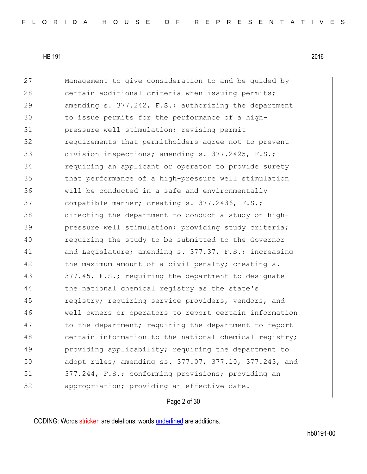27 Management to give consideration to and be guided by 28 certain additional criteria when issuing permits; 29 amending s. 377.242, F.S.; authorizing the department 30 to issue permits for the performance of a high-31 pressure well stimulation; revising permit 32 requirements that permitholders agree not to prevent 33 division inspections; amending s. 377.2425, F.S.; 34 requiring an applicant or operator to provide surety 35 100 that performance of a high-pressure well stimulation 36 will be conducted in a safe and environmentally 37 compatible manner; creating s. 377.2436, F.S.; 38 directing the department to conduct a study on high-39 pressure well stimulation; providing study criteria; 40 requiring the study to be submitted to the Governor 41 and Legislature; amending s. 377.37, F.S.; increasing 42 the maximum amount of a civil penalty; creating s. 43 377.45, F.S.; requiring the department to designate 44 the national chemical registry as the state's 45 registry; requiring service providers, vendors, and 46 well owners or operators to report certain information 47 to the department; requiring the department to report 48 certain information to the national chemical registry; 49 providing applicability; requiring the department to 50 adopt rules; amending ss. 377.07, 377.10, 377.243, and 51 377.244, F.S.; conforming provisions; providing an 52 appropriation; providing an effective date.

#### Page 2 of 30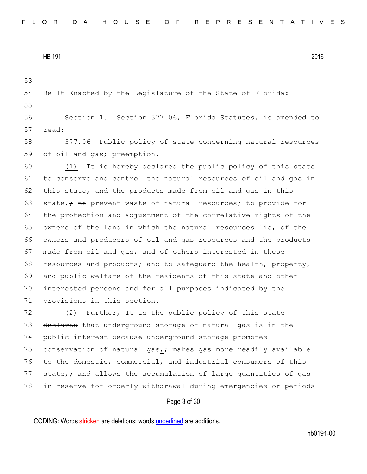53 54 Be It Enacted by the Legislature of the State of Florida: 55 56 Section 1. Section 377.06, Florida Statutes, is amended to 57 read: 58 377.06 Public policy of state concerning natural resources 59 of oil and gas; preemption.- $60$  (1) It is hereby declared the public policy of this state 61 to conserve and control the natural resources of oil and gas in  $62$  this state, and the products made from oil and gas in this 63 state,  $\div$  to prevent waste of natural resources; to provide for 64 the protection and adjustment of the correlative rights of the 65 owners of the land in which the natural resources lie,  $\theta$  the 66 owners and producers of oil and gas resources and the products 67 made from oil and gas, and  $\theta$  others interested in these 68 resources and products; and to safequard the health, property, 69 and public welfare of the residents of this state and other 70 interested persons and for all purposes indicated by the 71 provisions in this section.  $72$  (2) Further, It is the public policy of this state

73 declared that underground storage of natural gas is in the 74 public interest because underground storage promotes 75 conservation of natural gas,  $\div$  makes gas more readily available 76 to the domestic, commercial, and industrial consumers of this 77 state,  $\div$  and allows the accumulation of large quantities of gas 78 in reserve for orderly withdrawal during emergencies or periods

#### Page 3 of 30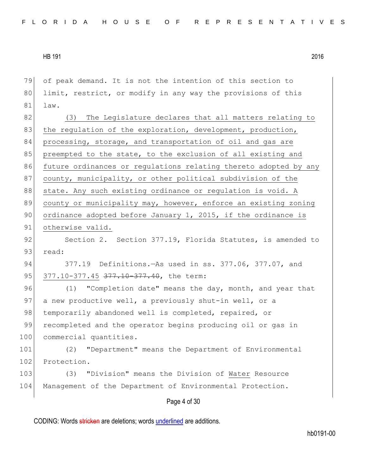| 79  | of peak demand. It is not the intention of this section to       |
|-----|------------------------------------------------------------------|
| 80  | limit, restrict, or modify in any way the provisions of this     |
| 81  | law.                                                             |
| 82  | The Legislature declares that all matters relating to<br>(3)     |
| 83  | the regulation of the exploration, development, production,      |
| 84  | processing, storage, and transportation of oil and gas are       |
| 85  | preempted to the state, to the exclusion of all existing and     |
| 86  | future ordinances or regulations relating thereto adopted by any |
| 87  | county, municipality, or other political subdivision of the      |
| 88  | state. Any such existing ordinance or regulation is void. A      |
| 89  | county or municipality may, however, enforce an existing zoning  |
| 90  | ordinance adopted before January 1, 2015, if the ordinance is    |
| 91  | otherwise valid.                                                 |
| 92  | Section 2. Section 377.19, Florida Statutes, is amended to       |
| 93  | read:                                                            |
| 94  | 377.19 Definitions. - As used in ss. 377.06, 377.07, and         |
| 95  | 377.10-377.45 377.10-377.40, the term:                           |
| 96  | "Completion date" means the day, month, and year that<br>(1)     |
| 97  | a new productive well, a previously shut-in well, or a           |
| 98  | temporarily abandoned well is completed, repaired, or            |
| 99  | recompleted and the operator begins producing oil or gas in      |
| 100 | commercial quantities.                                           |
| 101 | "Department" means the Department of Environmental<br>(2)        |
| 102 | Protection.                                                      |
| 103 | "Division" means the Division of Water Resource<br>(3)           |
| 104 | Management of the Department of Environmental Protection.        |
|     | Page 4 of 30                                                     |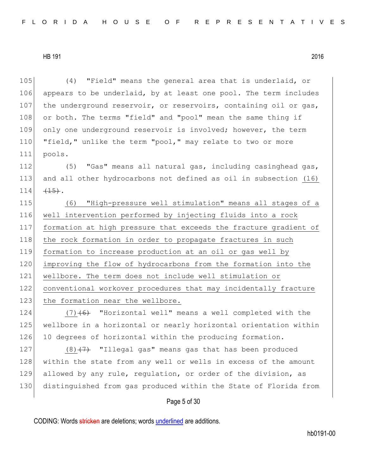(4) "Field" means the general area that is underlaid, or appears to be underlaid, by at least one pool. The term includes 107 the underground reservoir, or reservoirs, containing oil or gas, 108 or both. The terms "field" and "pool" mean the same thing if only one underground reservoir is involved; however, the term 110 "field," unlike the term "pool," may relate to two or more 111 pools.  $(5)$  "Gas" means all natural gas, including casinghead gas, and all other hydrocarbons not defined as oil in subsection (16)  $\leftarrow$   $\leftarrow$   $\leftarrow$   $\leftarrow$   $\leftarrow$   $\leftarrow$   $\leftarrow$   $\leftarrow$   $\leftarrow$   $\leftarrow$   $\leftarrow$   $\leftarrow$   $\leftarrow$   $\leftarrow$   $\leftarrow$   $\leftarrow$   $\leftarrow$   $\leftarrow$   $\leftarrow$   $\leftarrow$   $\leftarrow$   $\leftarrow$   $\leftarrow$   $\leftarrow$   $\leftarrow$   $\leftarrow$   $\leftarrow$   $\leftarrow$   $\leftarrow$   $\leftarrow$   $\leftarrow$   $\leftarrow$   $\leftarrow$   $\leftarrow$   $\leftarrow$   $\leftarrow$  (6) "High-pressure well stimulation" means all stages of a well intervention performed by injecting fluids into a rock formation at high pressure that exceeds the fracture gradient of 118 the rock formation in order to propagate fractures in such formation to increase production at an oil or gas well by improving the flow of hydrocarbons from the formation into the wellbore. The term does not include well stimulation or conventional workover procedures that may incidentally fracture 123 the formation near the wellbore.  $(7)$  (6) "Horizontal well" means a well completed with the wellbore in a horizontal or nearly horizontal orientation within 126 10 degrees of horizontal within the producing formation. 127 (8) $(7)$  "Illegal gas" means gas that has been produced 128 within the state from any well or wells in excess of the amount

Page 5 of 30

129 allowed by any rule, regulation, or order of the division, as

130 distinguished from gas produced within the State of Florida from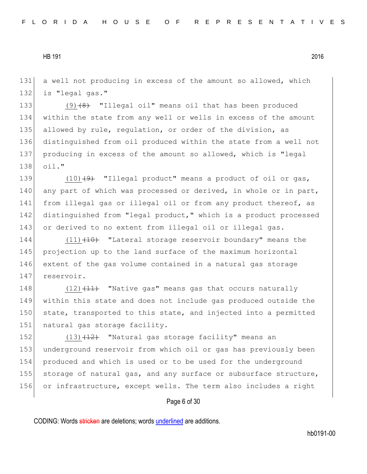131 a well not producing in excess of the amount so allowed, which 132 is "legal gas."

 $(9)$   $(8)$  "Illegal oil" means oil that has been produced within the state from any well or wells in excess of the amount 135 allowed by rule, regulation, or order of the division, as distinguished from oil produced within the state from a well not producing in excess of the amount so allowed, which is "legal 138 oil."

139  $(10)$   $(9)$  "Illegal product" means a product of oil or gas, 140 any part of which was processed or derived, in whole or in part, 141 from illegal gas or illegal oil or from any product thereof, as 142 distinguished from "legal product," which is a product processed 143 or derived to no extent from illegal oil or illegal gas.

144 (11) (10) "Lateral storage reservoir boundary" means the 145 projection up to the land surface of the maximum horizontal 146 extent of the gas volume contained in a natural gas storage 147 reservoir.

148  $(12)$   $(11)$  "Native gas" means gas that occurs naturally 149 within this state and does not include gas produced outside the 150 state, transported to this state, and injected into a permitted 151 natural gas storage facility.

152 (13) (12) "Natural gas storage facility" means an 153 underground reservoir from which oil or gas has previously been 154 produced and which is used or to be used for the underground 155 storage of natural gas, and any surface or subsurface structure, 156 or infrastructure, except wells. The term also includes a right

Page 6 of 30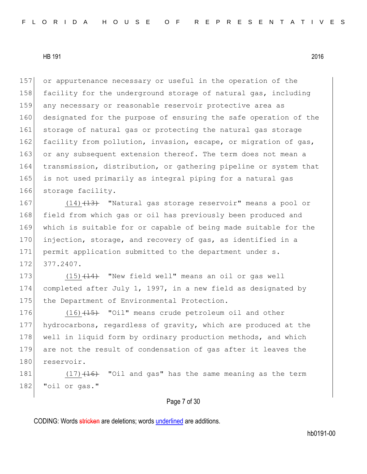157 or appurtenance necessary or useful in the operation of the 158 facility for the underground storage of natural gas, including 159 any necessary or reasonable reservoir protective area as 160 designated for the purpose of ensuring the safe operation of the 161 storage of natural gas or protecting the natural gas storage 162 facility from pollution, invasion, escape, or migration of gas, 163 or any subsequent extension thereof. The term does not mean a 164 transmission, distribution, or gathering pipeline or system that 165 is not used primarily as integral piping for a natural gas 166 storage facility.

167 (14) (14) Whatural gas storage reservoir" means a pool or 168 field from which gas or oil has previously been produced and 169 which is suitable for or capable of being made suitable for the 170 injection, storage, and recovery of gas, as identified in a 171 permit application submitted to the department under s. 172 377.2407.

173  $(15)$   $(14)$  "New field well" means an oil or gas well 174 completed after July 1, 1997, in a new field as designated by 175 the Department of Environmental Protection.

176 (16) (15) "Oil" means crude petroleum oil and other 177 hydrocarbons, regardless of gravity, which are produced at the 178 well in liquid form by ordinary production methods, and which 179 are not the result of condensation of gas after it leaves the 180 reservoir.

181  $(17)$   $(16)$  "Oil and gas" has the same meaning as the term 182 "oil or gas."

Page 7 of 30

CODING: Words stricken are deletions; words underlined are additions.

hb0191-00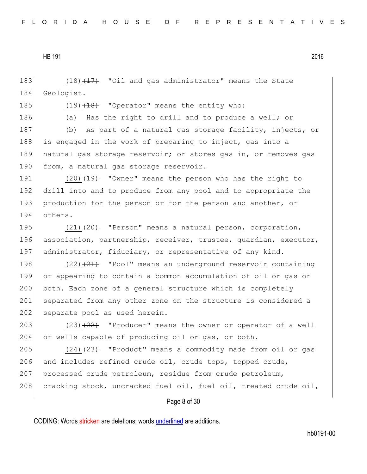183  $(18)$   $(17)$  "Oil and gas administrator" means the State 184 Geologist.

185  $(19)$   $(18)$  "Operator" means the entity who:

186 (a) Has the right to drill and to produce a well; or

187 (b) As part of a natural gas storage facility, injects, or 188 is engaged in the work of preparing to inject, gas into a 189 natural gas storage reservoir; or stores gas in, or removes gas 190 from, a natural gas storage reservoir.

191 (20)<del>(19)</del> "Owner" means the person who has the right to 192 drill into and to produce from any pool and to appropriate the 193 production for the person or for the person and another, or 194 others.

195  $(21)$   $(20)$  "Person" means a natural person, corporation, 196 association, partnership, receiver, trustee, guardian, executor, 197 administrator, fiduciary, or representative of any kind.

198  $(22)$   $(21)$  "Pool" means an underground reservoir containing 199 or appearing to contain a common accumulation of oil or gas or 200 both. Each zone of a general structure which is completely 201 separated from any other zone on the structure is considered a 202 separate pool as used herein.

203  $(23)$   $\overline{22}$  "Producer" means the owner or operator of a well 204 or wells capable of producing oil or gas, or both.

205  $(24)$   $(23)$  "Product" means a commodity made from oil or gas 206 and includes refined crude oil, crude tops, topped crude, 207 processed crude petroleum, residue from crude petroleum, 208 cracking stock, uncracked fuel oil, fuel oil, treated crude oil,

Page 8 of 30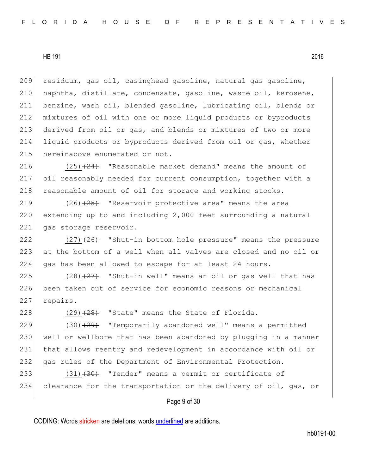residuum, gas oil, casinghead gasoline, natural gas gasoline,  $|$  naphtha, distillate, condensate, gasoline, waste oil, kerosene, benzine, wash oil, blended gasoline, lubricating oil, blends or mixtures of oil with one or more liquid products or byproducts derived from oil or gas, and blends or mixtures of two or more liquid products or byproducts derived from oil or gas, whether 215 hereinabove enumerated or not.

216  $(25)$   $(24)$  "Reasonable market demand" means the amount of 217 oil reasonably needed for current consumption, together with a 218 reasonable amount of oil for storage and working stocks.

219 (26)<del>(25)</del> "Reservoir protective area" means the area  $220$  extending up to and including  $2,000$  feet surrounding a natural 221 gas storage reservoir.

222  $(27)$   $(27)$   $(26)$  "Shut-in bottom hole pressure" means the pressure 223 at the bottom of a well when all valves are closed and no oil or 224 gas has been allowed to escape for at least 24 hours.

225  $(28)$   $(27)$  "Shut-in well" means an oil or gas well that has 226 been taken out of service for economic reasons or mechanical 227 repairs.

228  $(29)$   $(29)$   $(28)$  "State" means the State of Florida.

229  $(30)$   $(29)$  "Temporarily abandoned well" means a permitted 230 well or wellbore that has been abandoned by plugging in a manner 231 that allows reentry and redevelopment in accordance with oil or 232| gas rules of the Department of Environmental Protection.

233 (31)<del>(30)</del> "Tender" means a permit or certificate of 234 clearance for the transportation or the delivery of oil, gas, or

Page 9 of 30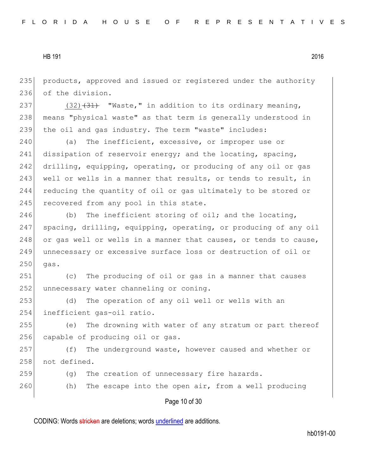235 products, approved and issued or registered under the authority 236 of the division.

237  $(32)$   $(31)$  "Waste," in addition to its ordinary meaning, 238 | means "physical waste" as that term is generally understood in 239 the oil and gas industry. The term "waste" includes:

240 (a) The inefficient, excessive, or improper use or 241 dissipation of reservoir energy; and the locating, spacing, 242 drilling, equipping, operating, or producing of any oil or gas 243 well or wells in a manner that results, or tends to result, in 244 reducing the quantity of oil or gas ultimately to be stored or 245 recovered from any pool in this state.

246 (b) The inefficient storing of oil; and the locating, 247 spacing, drilling, equipping, operating, or producing of any oil 248 or gas well or wells in a manner that causes, or tends to cause, 249 unnecessary or excessive surface loss or destruction of oil or  $250$  gas.

251 (c) The producing of oil or gas in a manner that causes 252 unnecessary water channeling or coning.

253 (d) The operation of any oil well or wells with an 254 inefficient gas-oil ratio.

255 (e) The drowning with water of any stratum or part thereof 256 capable of producing oil or gas.

257 (f) The underground waste, however caused and whether or 258 not defined.

- 259 (g) The creation of unnecessary fire hazards.
- 260 (h) The escape into the open air, from a well producing

## Page 10 of 30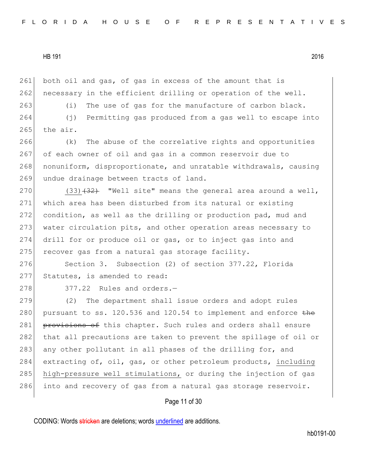261 both oil and gas, of gas in excess of the amount that is  $262$  necessary in the efficient drilling or operation of the well.  $263$  (i) The use of gas for the manufacture of carbon black. 264 (j) Permitting gas produced from a gas well to escape into  $265$  the air.

266 (k) The abuse of the correlative rights and opportunities 267 of each owner of oil and gas in a common reservoir due to 268 nonuniform, disproportionate, and unratable withdrawals, causing 269 undue drainage between tracts of land.

 $(33)$   $(32)$  "Well site" means the general area around a well, which area has been disturbed from its natural or existing condition, as well as the drilling or production pad, mud and water circulation pits, and other operation areas necessary to drill for or produce oil or gas, or to inject gas into and 275 recover gas from a natural gas storage facility.

276 Section 3. Subsection (2) of section 377.22, Florida 277 Statutes, is amended to read:

 $278$  377.22 Rules and orders.

279 (2) The department shall issue orders and adopt rules 280 pursuant to ss. 120.536 and 120.54 to implement and enforce  $the$ 281 provisions of this chapter. Such rules and orders shall ensure 282 that all precautions are taken to prevent the spillage of oil or 283 any other pollutant in all phases of the drilling for, and 284 extracting of, oil, gas, or other petroleum products, including 285 high-pressure well stimulations, or during the injection of gas 286 into and recovery of gas from a natural gas storage reservoir.

# Page 11 of 30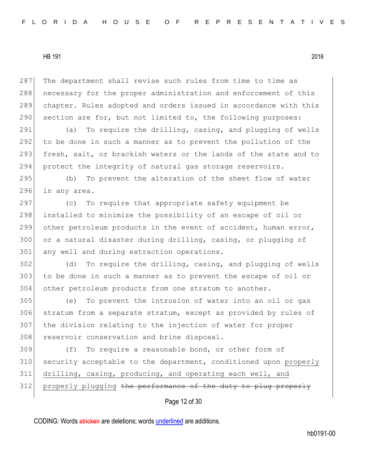287 The department shall revise such rules from time to time as 288 necessary for the proper administration and enforcement of this 289 chapter. Rules adopted and orders issued in accordance with this 290 section are for, but not limited to, the following purposes:

291 (a) To require the drilling, casing, and plugging of wells 292 to be done in such a manner as to prevent the pollution of the 293 fresh, salt, or brackish waters or the lands of the state and to 294 protect the integrity of natural gas storage reservoirs.

295 (b) To prevent the alteration of the sheet flow of water 296 in any area.

297 (c) To require that appropriate safety equipment be 298 installed to minimize the possibility of an escape of oil or 299 other petroleum products in the event of accident, human error, 300 or a natural disaster during drilling, casing, or plugging of 301 any well and during extraction operations.

302 (d) To require the drilling, casing, and plugging of wells 303 to be done in such a manner as to prevent the escape of oil or 304 other petroleum products from one stratum to another.

 (e) To prevent the intrusion of water into an oil or gas stratum from a separate stratum, except as provided by rules of the division relating to the injection of water for proper 308 reservoir conservation and brine disposal.

309 (f) To require a reasonable bond, or other form of 310 security acceptable to the department, conditioned upon properly 311 drilling, casing, producing, and operating each well, and 312 properly plugging the performance of the duty to plug properly

Page 12 of 30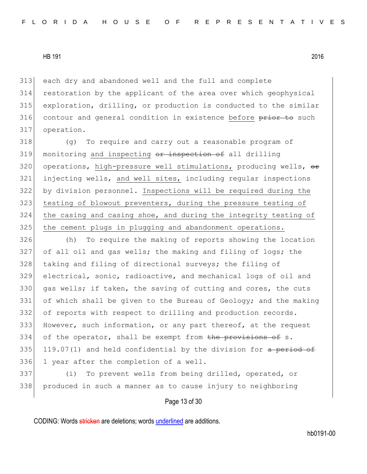each dry and abandoned well and the full and complete restoration by the applicant of the area over which geophysical exploration, drilling, or production is conducted to the similar 316 contour and general condition in existence before prior to such operation.

318 (g) To require and carry out a reasonable program of monitoring and inspecting  $\theta$  inspection of all drilling 320 operations, high-pressure well stimulations, producing wells, or injecting wells, and well sites, including regular inspections by division personnel. Inspections will be required during the testing of blowout preventers, during the pressure testing of 324 the casing and casing shoe, and during the integrity testing of the cement plugs in plugging and abandonment operations.

326 (h) To require the making of reports showing the location 327 of all oil and gas wells; the making and filing of logs; the 328 taking and filing of directional surveys; the filing of 329 electrical, sonic, radioactive, and mechanical logs of oil and 330 gas wells; if taken, the saving of cutting and cores, the cuts 331 of which shall be given to the Bureau of Geology; and the making 332 of reports with respect to drilling and production records. 333 However, such information, or any part thereof, at the request 334 of the operator, shall be exempt from the provisions of s. 335 119.07(1) and held confidential by the division for  $a$  period of 336 1 year after the completion of a well.

337 (i) To prevent wells from being drilled, operated, or 338 produced in such a manner as to cause injury to neighboring

Page 13 of 30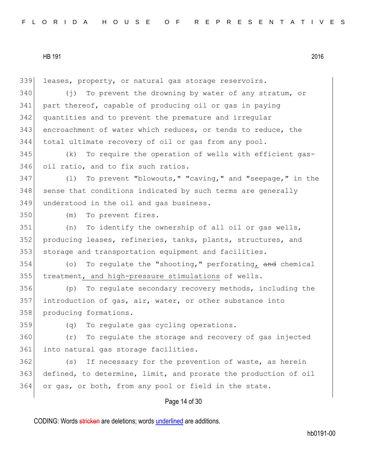Page 14 of 30 leases, property, or natural gas storage reservoirs. 340 (i) To prevent the drowning by water of any stratum, or part thereof, capable of producing oil or gas in paying quantities and to prevent the premature and irregular encroachment of water which reduces, or tends to reduce, the total ultimate recovery of oil or gas from any pool. (k) To require the operation of wells with efficient gas- oil ratio, and to fix such ratios. 347 (1) To prevent "blowouts," "caving," and "seepage," in the 348 sense that conditions indicated by such terms are generally 349 understood in the oil and gas business. (m) To prevent fires. (n) To identify the ownership of all oil or gas wells, producing leases, refineries, tanks, plants, structures, and storage and transportation equipment and facilities. 354 (o) To regulate the "shooting," perforating,  $\frac{1}{2}$  and chemical 355 | treatment, and high-pressure stimulations of wells. (p) To regulate secondary recovery methods, including the introduction of gas, air, water, or other substance into 358 producing formations. (q) To regulate gas cycling operations. (r) To regulate the storage and recovery of gas injected 361 into natural gas storage facilities. 362 (s) If necessary for the prevention of waste, as herein defined, to determine, limit, and prorate the production of oil or gas, or both, from any pool or field in the state.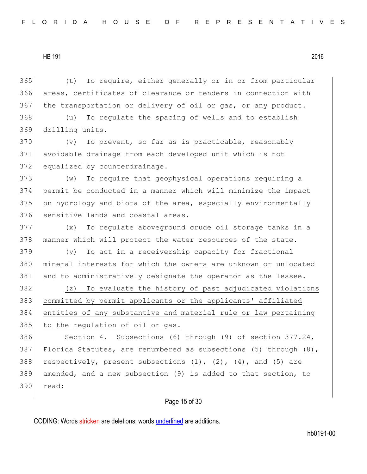365 (t) To require, either generally or in or from particular 366 areas, certificates of clearance or tenders in connection with  $367$  the transportation or delivery of oil or gas, or any product.

368 (u) To regulate the spacing of wells and to establish 369 drilling units.

 $370$  (v) To prevent, so far as is practicable, reasonably 371 avoidable drainage from each developed unit which is not 372 equalized by counterdrainage.

 (w) To require that geophysical operations requiring a permit be conducted in a manner which will minimize the impact on hydrology and biota of the area, especially environmentally 376 sensitive lands and coastal areas.

 $377$  (x) To regulate aboveground crude oil storage tanks in a 378 manner which will protect the water resources of the state.

 $379$  (y) To act in a receivership capacity for fractional 380 mineral interests for which the owners are unknown or unlocated 381 and to administratively designate the operator as the lessee.

 (z) To evaluate the history of past adjudicated violations committed by permit applicants or the applicants' affiliated entities of any substantive and material rule or law pertaining 385 to the regulation of oil or gas.

386 Section 4. Subsections (6) through (9) of section 377.24, 387 Florida Statutes, are renumbered as subsections (5) through  $(8)$ , 388 respectively, present subsections  $(1)$ ,  $(2)$ ,  $(4)$ , and  $(5)$  are 389 amended, and a new subsection (9) is added to that section, to 390 read:

## Page 15 of 30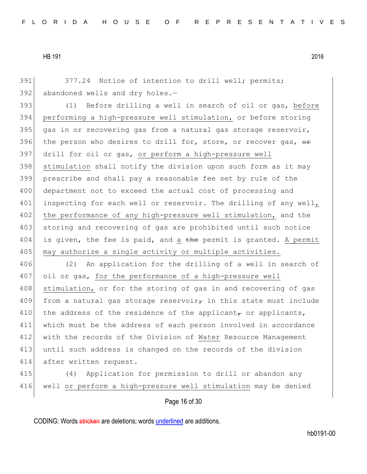391 377.24 Notice of intention to drill well; permits;  $392$  abandoned wells and dry holes.  $-$ 

393 (1) Before drilling a well in search of oil or gas, before 394 performing a high-pressure well stimulation, or before storing 395 gas in or recovering gas from a natural gas storage reservoir, 396 the person who desires to drill for, store, or recover gas,  $\theta$ 397 drill for oil or gas, or perform a high-pressure well 398 stimulation shall notify the division upon such form as it may 399 prescribe and shall pay a reasonable fee set by rule of the 400 department not to exceed the actual cost of processing and 401 inspecting for each well or reservoir. The drilling of any well, 402 the performance of any high-pressure well stimulation, and the 403 storing and recovering of gas are prohibited until such notice 404 is given, the fee is paid, and a the permit is granted. A permit 405 may authorize a single activity or multiple activities.

406 (2) An application for the drilling of a well in search of 407 oil or gas, for the performance of a high-pressure well 408 stimulation, or for the storing of gas in and recovering of gas 409 from a natural gas storage reservoir<sub> $\tau$ </sub> in this state must include 410 the address of the residence of the applicant, or applicants, 411 which must be the address of each person involved in accordance 412 with the records of the Division of Water Resource Management 413 until such address is changed on the records of the division 414 after written request.

415 (4) Application for permission to drill or abandon any 416 well or perform a high-pressure well stimulation may be denied

## Page 16 of 30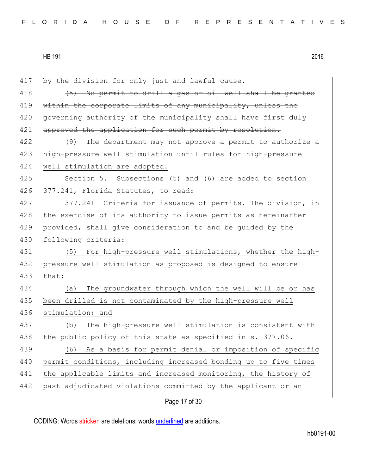417 by the division for only just and lawful cause.  $418$  (45) No permit to drill a gas or oil well shall be granted 419 within the corporate limits of any municipality, unless the 420 governing authority of the municipality shall have first duly 421 approved the application for such permit by resolution. 422 (9) The department may not approve a permit to authorize a 423 high-pressure well stimulation until rules for high-pressure 424 well stimulation are adopted. 425 Section 5. Subsections (5) and (6) are added to section 426 377.241, Florida Statutes, to read: 427 377.241 Criteria for issuance of permits.—The division, in 428 the exercise of its authority to issue permits as hereinafter 429 provided, shall give consideration to and be guided by the 430 following criteria: 431 (5) For high-pressure well stimulations, whether the high-432 pressure well stimulation as proposed is designed to ensure 433 that: 434 (a) The groundwater through which the well will be or has 435 been drilled is not contaminated by the high-pressure well 436 stimulation; and 437 (b) The high-pressure well stimulation is consistent with 438 the public policy of this state as specified in s. 377.06. 439 (6) As a basis for permit denial or imposition of specific 440 permit conditions, including increased bonding up to five times 441 the applicable limits and increased monitoring, the history of 442 past adjudicated violations committed by the applicant or an

Page 17 of 30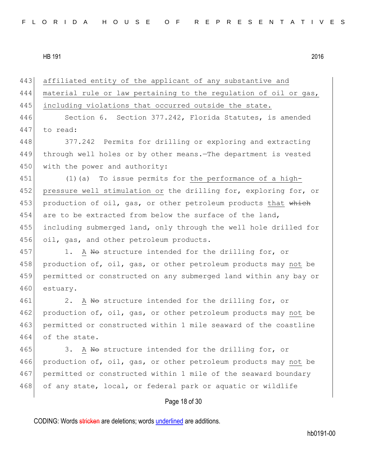| 443 | affiliated entity of the applicant of any substantive and        |
|-----|------------------------------------------------------------------|
| 444 | material rule or law pertaining to the regulation of oil or gas, |
| 445 | including violations that occurred outside the state.            |
| 446 | Section 6. Section 377.242, Florida Statutes, is amended         |
| 447 | to read:                                                         |
| 448 | 377.242 Permits for drilling or exploring and extracting         |
| 449 | through well holes or by other means. The department is vested   |
| 450 | with the power and authority:                                    |
| 451 | $(1)$ (a) To issue permits for the performance of a high-        |
| 452 | pressure well stimulation or the drilling for, exploring for, or |
| 453 | production of oil, gas, or other petroleum products that which   |
| 454 | are to be extracted from below the surface of the land,          |
| 455 | including submerged land, only through the well hole drilled for |
| 456 | oil, gas, and other petroleum products.                          |
| 457 | 1. A No structure intended for the drilling for, or              |
| 458 | production of, oil, gas, or other petroleum products may not be  |
| 459 | permitted or constructed on any submerged land within any bay or |
| 460 | estuary.                                                         |
| 461 | 2. A No structure intended for the drilling for, or              |
| 462 | production of, oil, gas, or other petroleum products may not be  |
| 463 | permitted or constructed within 1 mile seaward of the coastline  |
| 464 | of the state.                                                    |
| 465 | A No structure intended for the drilling for, or<br>3.           |
| 466 | production of, oil, gas, or other petroleum products may not be  |
| 467 | permitted or constructed within 1 mile of the seaward boundary   |
| 468 | of any state, local, or federal park or aquatic or wildlife      |
|     | Page 18 of 30                                                    |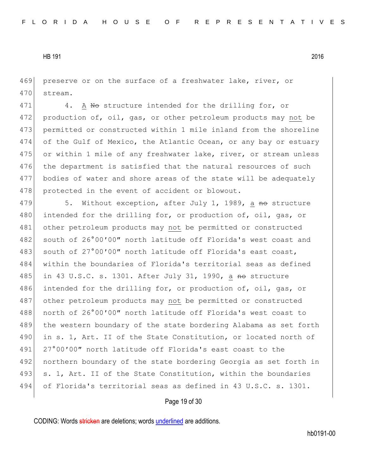469 preserve or on the surface of a freshwater lake, river, or 470 stream.

471 4. A No structure intended for the drilling for, or 472 production of, oil, gas, or other petroleum products may not be 473 permitted or constructed within 1 mile inland from the shoreline 474 of the Gulf of Mexico, the Atlantic Ocean, or any bay or estuary 475 or within 1 mile of any freshwater lake, river, or stream unless 476 the department is satisfied that the natural resources of such 477 bodies of water and shore areas of the state will be adequately 478 protected in the event of accident or blowout.

479 5. Without exception, after July 1, 1989, a no structure 480 intended for the drilling for, or production of, oil, gas, or 481 other petroleum products may not be permitted or constructed 482 south of 26°00'00" north latitude off Florida's west coast and 483 south of 27°00'00" north latitude off Florida's east coast, 484 within the boundaries of Florida's territorial seas as defined 485 in 43 U.S.C. s. 1301. After July 31, 1990, a no structure 486 intended for the drilling for, or production of, oil, gas, or 487 other petroleum products may not be permitted or constructed 488 north of 26°00′00″ north latitude off Florida's west coast to 489 the western boundary of the state bordering Alabama as set forth 490 in s. 1, Art. II of the State Constitution, or located north of 491 27°00'00" north latitude off Florida's east coast to the 492 northern boundary of the state bordering Georgia as set forth in 493 s. 1, Art. II of the State Constitution, within the boundaries 494 of Florida's territorial seas as defined in 43 U.S.C. s. 1301.

## Page 19 of 30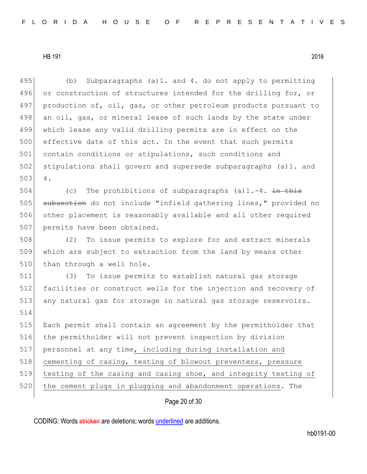495 (b) Subparagraphs (a)1. and 4. do not apply to permitting 496 or construction of structures intended for the drilling for, or 497 production of, oil, gas, or other petroleum products pursuant to 498 an oil, gas, or mineral lease of such lands by the state under 499 which lease any valid drilling permits are in effect on the 500 effective date of this act. In the event that such permits 501 contain conditions or stipulations, such conditions and 502 stipulations shall govern and supersede subparagraphs (a)1. and 503 4.

504 (c) The prohibitions of subparagraphs (a)  $1.-4$ . in this 505 subsection do not include "infield gathering lines," provided no 506 other placement is reasonably available and all other required 507 permits have been obtained.

508 (2) To issue permits to explore for and extract minerals 509 which are subject to extraction from the land by means other 510 than through a well hole.

511 (3) To issue permits to establish natural gas storage 512 facilities or construct wells for the injection and recovery of 513 any natural gas for storage in natural gas storage reservoirs. 514

 Each permit shall contain an agreement by the permitholder that the permitholder will not prevent inspection by division personnel at any time, including during installation and 518 cementing of casing, testing of blowout preventers, pressure testing of the casing and casing shoe, and integrity testing of 520 the cement plugs in plugging and abandonment operations. The

Page 20 of 30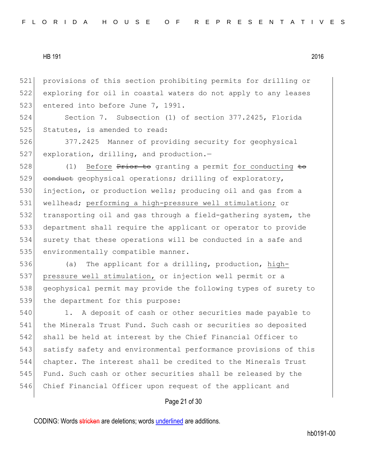521 provisions of this section prohibiting permits for drilling or 522 exploring for oil in coastal waters do not apply to any leases 523 entered into before June 7, 1991.

524 Section 7. Subsection (1) of section 377.2425, Florida 525 Statutes, is amended to read:

526 377.2425 Manner of providing security for geophysical 527 exploration, drilling, and production.-

528 (1) Before Prior to granting a permit for conducting to 529 conduct geophysical operations; drilling of exploratory, 530 injection, or production wells; producing oil and gas from a 531 wellhead; performing a high-pressure well stimulation; or 532 transporting oil and gas through a field-gathering system, the 533 department shall require the applicant or operator to provide 534 surety that these operations will be conducted in a safe and 535 environmentally compatible manner.

536 (a) The applicant for a drilling, production, high-537 pressure well stimulation, or injection well permit or a 538 geophysical permit may provide the following types of surety to 539 the department for this purpose:

540 1. A deposit of cash or other securities made payable to 541 the Minerals Trust Fund. Such cash or securities so deposited 542 shall be held at interest by the Chief Financial Officer to 543 satisfy safety and environmental performance provisions of this 544 chapter. The interest shall be credited to the Minerals Trust 545 Fund. Such cash or other securities shall be released by the 546 Chief Financial Officer upon request of the applicant and

# Page 21 of 30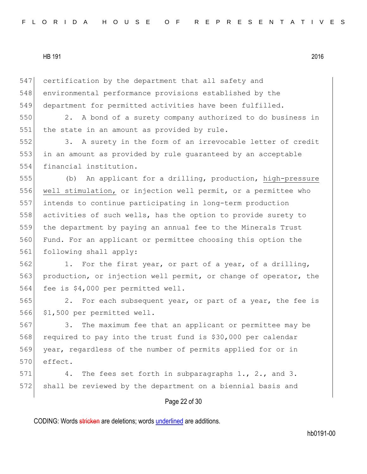547 certification by the department that all safety and 548 environmental performance provisions established by the 549 department for permitted activities have been fulfilled.

550 2. A bond of a surety company authorized to do business in 551 the state in an amount as provided by rule.

552 3. A surety in the form of an irrevocable letter of credit 553 in an amount as provided by rule guaranteed by an acceptable 554 financial institution.

 (b) An applicant for a drilling, production, high-pressure well stimulation, or injection well permit, or a permittee who intends to continue participating in long-term production activities of such wells, has the option to provide surety to the department by paying an annual fee to the Minerals Trust Fund. For an applicant or permittee choosing this option the 561 following shall apply:

562 1. For the first year, or part of a year, of a drilling, 563 production, or injection well permit, or change of operator, the 564 fee is \$4,000 per permitted well.

565 2. For each subsequent year, or part of a year, the fee is 566 \$1,500 per permitted well.

567 3. The maximum fee that an applicant or permittee may be 568 required to pay into the trust fund is \$30,000 per calendar 569 year, regardless of the number of permits applied for or in 570 effect.

571 4. The fees set forth in subparagraphs 1., 2., and 3. 572 shall be reviewed by the department on a biennial basis and

# Page 22 of 30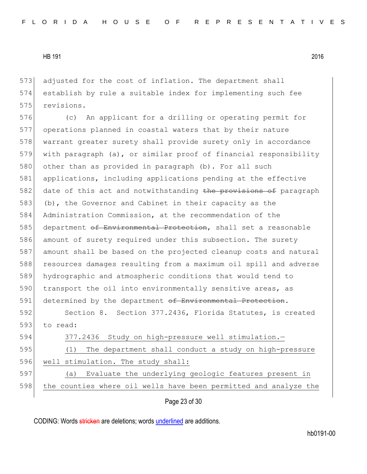573 adjusted for the cost of inflation. The department shall 574 establish by rule a suitable index for implementing such fee 575 revisions.

576 (c) An applicant for a drilling or operating permit for 577 operations planned in coastal waters that by their nature 578 warrant greater surety shall provide surety only in accordance 579 with paragraph (a), or similar proof of financial responsibility 580 other than as provided in paragraph (b). For all such 581 applications, including applications pending at the effective 582 date of this act and notwithstanding the provisions of paragraph 583 (b), the Governor and Cabinet in their capacity as the 584 Administration Commission, at the recommendation of the 585 department of Environmental Protection, shall set a reasonable 586 amount of surety required under this subsection. The surety 587 amount shall be based on the projected cleanup costs and natural 588 resources damages resulting from a maximum oil spill and adverse 589 hydrographic and atmospheric conditions that would tend to 590 transport the oil into environmentally sensitive areas, as 591 determined by the department of Environmental Protection.

592 Section 8. Section 377.2436, Florida Statutes, is created 593 to read:

| 594 | 377.2436 Study on high-pressure well stimulation.-               |
|-----|------------------------------------------------------------------|
| 595 | The department shall conduct a study on high-pressure<br>(T)     |
| 596 | well stimulation. The study shall:                               |
| 597 | (a) Evaluate the underlying geologic features present in         |
| 598 | the counties where oil wells have been permitted and analyze the |

Page 23 of 30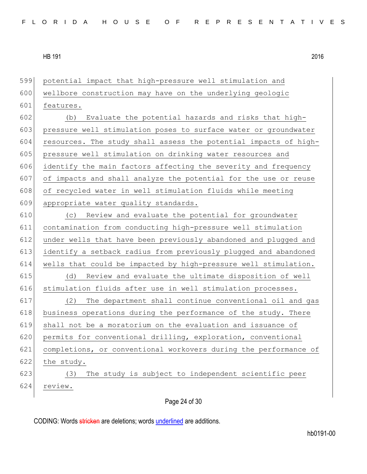potential impact that high-pressure well stimulation and 600 wellbore construction may have on the underlying geologic features. (b) Evaluate the potential hazards and risks that high- pressure well stimulation poses to surface water or groundwater 604 resources. The study shall assess the potential impacts of high-605 pressure well stimulation on drinking water resources and 606 identify the main factors affecting the severity and frequency of impacts and shall analyze the potential for the use or reuse 608 of recycled water in well stimulation fluids while meeting appropriate water quality standards. (c) Review and evaluate the potential for groundwater contamination from conducting high-pressure well stimulation under wells that have been previously abandoned and plugged and identify a setback radius from previously plugged and abandoned wells that could be impacted by high-pressure well stimulation. (d) Review and evaluate the ultimate disposition of well 616 stimulation fluids after use in well stimulation processes. (2) The department shall continue conventional oil and gas 618 business operations during the performance of the study. There shall not be a moratorium on the evaluation and issuance of 620 permits for conventional drilling, exploration, conventional completions, or conventional workovers during the performance of the study. (3) The study is subject to independent scientific peer 624 review.

Page 24 of 30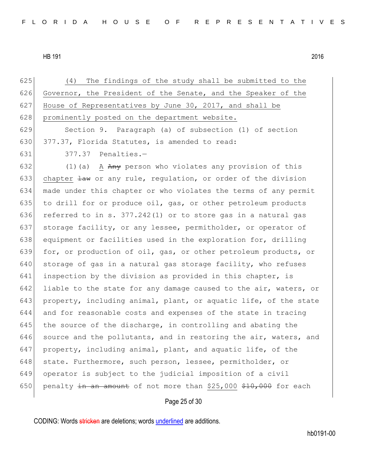625 (4) The findings of the study shall be submitted to the 626 Governor, the President of the Senate, and the Speaker of the 627 House of Representatives by June 30, 2017, and shall be 628 prominently posted on the department website. 629 Section 9. Paragraph (a) of subsection (1) of section 630 377.37, Florida Statutes, is amended to read: 631 377.37 Penalties.-632 (1)(a) A  $Any$  person who violates any provision of this 633 chapter  $\frac{1}{4}$  or any rule, regulation, or order of the division 634 made under this chapter or who violates the terms of any permit 635 to drill for or produce oil, gas, or other petroleum products 636 referred to in s.  $377.242(1)$  or to store gas in a natural gas 637 storage facility, or any lessee, permitholder, or operator of 638 equipment or facilities used in the exploration for, drilling 639 for, or production of oil, gas, or other petroleum products, or 640 storage of gas in a natural gas storage facility, who refuses 641 inspection by the division as provided in this chapter, is 642 liable to the state for any damage caused to the air, waters, or 643 property, including animal, plant, or aquatic life, of the state 644 and for reasonable costs and expenses of the state in tracing 645 the source of the discharge, in controlling and abating the 646 source and the pollutants, and in restoring the air, waters, and 647 property, including animal, plant, and aquatic life, of the 648 state. Furthermore, such person, lessee, permitholder, or

Page 25 of 30

649 operator is subject to the judicial imposition of a civil

650 penalty in an amount of not more than  $$25,000$   $$10,000$  for each

CODING: Words stricken are deletions; words underlined are additions.

hb0191-00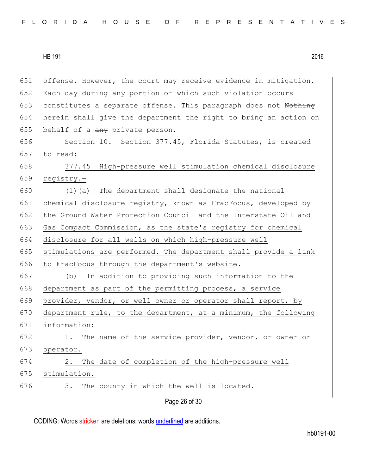Page 26 of 30 651 offense. However, the court may receive evidence in mitigation. 652 Each day during any portion of which such violation occurs 653 constitutes a separate offense. This paragraph does not Nothing 654 herein shall give the department the right to bring an action on 655 behalf of a  $\frac{any}{any}$  private person. 656 Section 10. Section 377.45, Florida Statutes, is created 657 to read: 658 377.45 High-pressure well stimulation chemical disclosure 659 registry.— 660 (1)(a) The department shall designate the national 661 chemical disclosure registry, known as FracFocus, developed by 662 the Ground Water Protection Council and the Interstate Oil and 663 Gas Compact Commission, as the state's registry for chemical 664 disclosure for all wells on which high-pressure well 665 stimulations are performed. The department shall provide a link 666 to FracFocus through the department's website. 667 (b) In addition to providing such information to the 668 department as part of the permitting process, a service 669 provider, vendor, or well owner or operator shall report, by 670 department rule, to the department, at a minimum, the following 671 information: 672 1. The name of the service provider, vendor, or owner or 673 operator. 674 2. The date of completion of the high-pressure well 675 stimulation. 676 3. The county in which the well is located.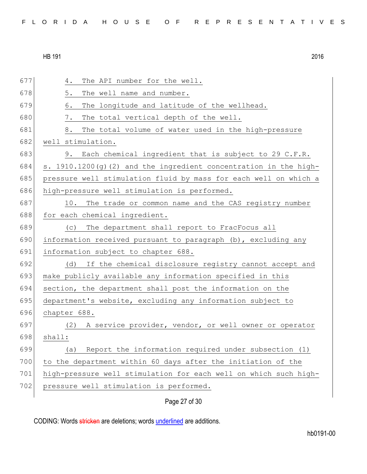| 677 | The API number for the well.<br>4.                                 |
|-----|--------------------------------------------------------------------|
| 678 | 5.<br>The well name and number.                                    |
| 679 | The longitude and latitude of the wellhead.<br>6.                  |
| 680 | 7.<br>The total vertical depth of the well.                        |
| 681 | The total volume of water used in the high-pressure<br>8.          |
| 682 | well stimulation.                                                  |
| 683 | 9. Each chemical ingredient that is subject to 29 C.F.R.           |
| 684 | s. 1910.1200 (g) (2) and the ingredient concentration in the high- |
| 685 | pressure well stimulation fluid by mass for each well on which a   |
| 686 | high-pressure well stimulation is performed.                       |
| 687 | The trade or common name and the CAS registry number<br>10.        |
| 688 | for each chemical ingredient.                                      |
| 689 | The department shall report to FracFocus all<br>(C)                |
| 690 | information received pursuant to paragraph (b), excluding any      |
| 691 | information subject to chapter 688.                                |
| 692 | (d)<br>If the chemical disclosure registry cannot accept and       |
| 693 | make publicly available any information specified in this          |
| 694 | section, the department shall post the information on the          |
| 695 | department's website, excluding any information subject to         |
| 696 | chapter 688.                                                       |
| 697 | A service provider, vendor, or well owner or operator<br>(2)       |
| 698 | shall:                                                             |
| 699 | Report the information required under subsection (1)<br>(a)        |
| 700 | to the department within 60 days after the initiation of the       |
| 701 | high-pressure well stimulation for each well on which such high-   |
| 702 | pressure well stimulation is performed.                            |
|     | Page 27 of 30                                                      |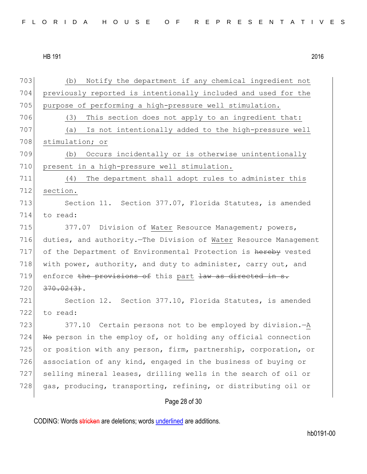703 (b) Notify the department if any chemical ingredient not 704 previously reported is intentionally included and used for the 705 purpose of performing a high-pressure well stimulation. 706 (3) This section does not apply to an ingredient that: 707 (a) Is not intentionally added to the high-pressure well 708 stimulation; or 709 (b) Occurs incidentally or is otherwise unintentionally 710 present in a high-pressure well stimulation. 711 (4) The department shall adopt rules to administer this 712 section. 713 Section 11. Section 377.07, Florida Statutes, is amended 714 to read: 715 377.07 Division of Water Resource Management; powers, 716 duties, and authority.—The Division of Water Resource Management 717 of the Department of Environmental Protection is hereby vested 718 with power, authority, and duty to administer, carry out, and 719 enforce the provisions of this part  $\frac{1}{4}$  as directed in s.  $720 \mid 370.02(3)$ . 721 Section 12. Section 377.10, Florida Statutes, is amended 722 to read: 723 377.10 Certain persons not to be employed by division.—A 724  $\overline{R}$  No person in the employ of, or holding any official connection 725 or position with any person, firm, partnership, corporation, or 726 association of any kind, engaged in the business of buying or 727 selling mineral leases, drilling wells in the search of oil or 728 gas, producing, transporting, refining, or distributing oil or

Page 28 of 30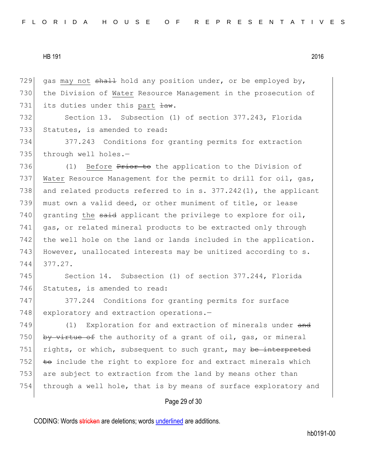729 gas may not  $shall$  hold any position under, or be employed by, 730 the Division of Water Resource Management in the prosecution of 731 its duties under this part  $\frac{1}{2}$ .

732 Section 13. Subsection (1) of section 377.243, Florida 733 Statutes, is amended to read:

734 377.243 Conditions for granting permits for extraction 735 through well holes.-

736 (1) Before Prior to the application to the Division of 737 Water Resource Management for the permit to drill for oil, gas, 738 and related products referred to in s. 377.242(1), the applicant 739 must own a valid deed, or other muniment of title, or lease 740 granting the  $s$ aid applicant the privilege to explore for oil, 741 gas, or related mineral products to be extracted only through 742 the well hole on the land or lands included in the application. 743 However, unallocated interests may be unitized according to s. 744 377.27.

745 Section 14. Subsection (1) of section 377.244, Florida 746 Statutes, is amended to read:

747 377.244 Conditions for granting permits for surface 748 exploratory and extraction operations.-

749 (1) Exploration for and extraction of minerals under and 750 by virtue of the authority of a grant of oil, gas, or mineral 751 rights, or which, subsequent to such grant, may be interpreted  $752$  to include the right to explore for and extract minerals which 753 are subject to extraction from the land by means other than 754 through a well hole, that is by means of surface exploratory and

## Page 29 of 30